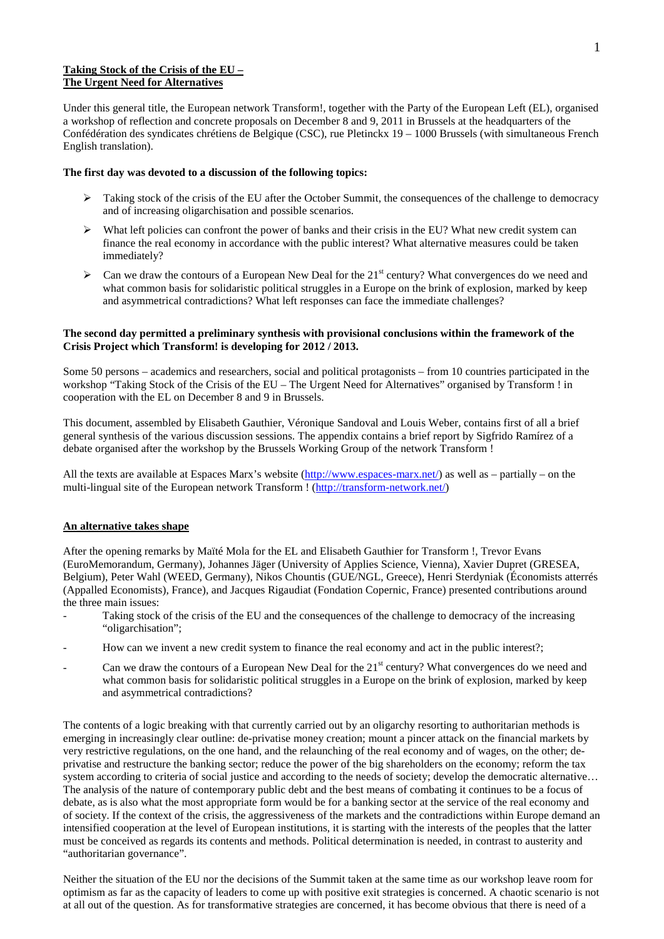# **Taking Stock of the Crisis of the EU – The Urgent Need for Alternatives**

Under this general title, the European network Transform!, together with the Party of the European Left (EL), organised a workshop of reflection and concrete proposals on December 8 and 9, 2011 in Brussels at the headquarters of the Confédération des syndicates chrétiens de Belgique (CSC), rue Pletinckx 19 – 1000 Brussels (with simultaneous French English translation).

## **The first day was devoted to a discussion of the following topics:**

- Taking stock of the crisis of the EU after the October Summit, the consequences of the challenge to democracy and of increasing oligarchisation and possible scenarios.
- $\triangleright$  What left policies can confront the power of banks and their crisis in the EU? What new credit system can finance the real economy in accordance with the public interest? What alternative measures could be taken immediately?
- Can we draw the contours of a European New Deal for the 21<sup>st</sup> century? What convergences do we need and what common basis for solidaristic political struggles in a Europe on the brink of explosion, marked by keep and asymmetrical contradictions? What left responses can face the immediate challenges?

# **The second day permitted a preliminary synthesis with provisional conclusions within the framework of the Crisis Project which Transform! is developing for 2012 / 2013.**

Some 50 persons – academics and researchers, social and political protagonists – from 10 countries participated in the workshop "Taking Stock of the Crisis of the EU – The Urgent Need for Alternatives" organised by Transform ! in cooperation with the EL on December 8 and 9 in Brussels.

This document, assembled by Elisabeth Gauthier, Véronique Sandoval and Louis Weber, contains first of all a brief general synthesis of the various discussion sessions. The appendix contains a brief report by Sigfrido Ramírez of a debate organised after the workshop by the Brussels Working Group of the network Transform !

All the texts are available at Espaces Marx's website [\(http://www.espaces-marx.net/\)](http://www.espaces-marx.net/) as well as – partially – on the multi-lingual site of the European network Transform ! [\(http://transform-network.net/\)](http://transform-network.net/)

# **An alternative takes shape**

After the opening remarks by Maïté Mola for the EL and Elisabeth Gauthier for Transform !, Trevor Evans (EuroMemorandum, Germany), Johannes Jäger (University of Applies Science, Vienna), Xavier Dupret (GRESEA, Belgium), Peter Wahl (WEED, Germany), Nikos Chountis (GUE/NGL, Greece), Henri Sterdyniak (Économists atterrés (Appalled Economists), France), and Jacques Rigaudiat (Fondation Copernic, France) presented contributions around the three main issues:

- Taking stock of the crisis of the EU and the consequences of the challenge to democracy of the increasing "oligarchisation";
- How can we invent a new credit system to finance the real economy and act in the public interest?;
- Can we draw the contours of a European New Deal for the  $21<sup>st</sup>$  century? What convergences do we need and what common basis for solidaristic political struggles in a Europe on the brink of explosion, marked by keep and asymmetrical contradictions?

The contents of a logic breaking with that currently carried out by an oligarchy resorting to authoritarian methods is emerging in increasingly clear outline: de-privatise money creation; mount a pincer attack on the financial markets by very restrictive regulations, on the one hand, and the relaunching of the real economy and of wages, on the other; deprivatise and restructure the banking sector; reduce the power of the big shareholders on the economy; reform the tax system according to criteria of social justice and according to the needs of society; develop the democratic alternative... The analysis of the nature of contemporary public debt and the best means of combating it continues to be a focus of debate, as is also what the most appropriate form would be for a banking sector at the service of the real economy and of society. If the context of the crisis, the aggressiveness of the markets and the contradictions within Europe demand an intensified cooperation at the level of European institutions, it is starting with the interests of the peoples that the latter must be conceived as regards its contents and methods. Political determination is needed, in contrast to austerity and "authoritarian governance".

Neither the situation of the EU nor the decisions of the Summit taken at the same time as our workshop leave room for optimism as far as the capacity of leaders to come up with positive exit strategies is concerned. A chaotic scenario is not at all out of the question. As for transformative strategies are concerned, it has become obvious that there is need of a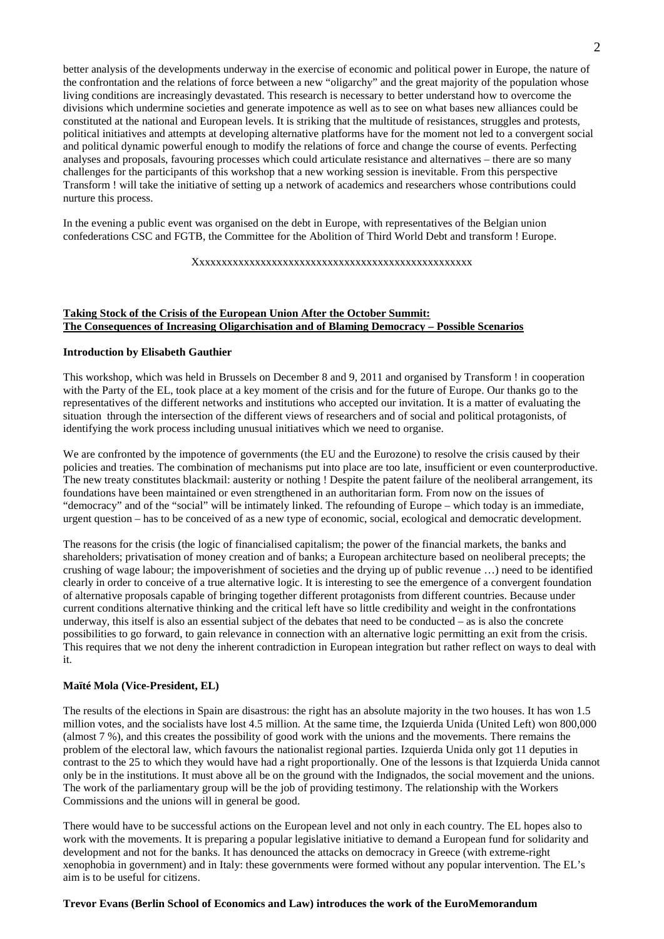better analysis of the developments underway in the exercise of economic and political power in Europe, the nature of the confrontation and the relations of force between a new "oligarchy" and the great majority of the population whose living conditions are increasingly devastated. This research is necessary to better understand how to overcome the divisions which undermine societies and generate impotence as well as to see on what bases new alliances could be constituted at the national and European levels. It is striking that the multitude of resistances, struggles and protests, political initiatives and attempts at developing alternative platforms have for the moment not led to a convergent social and political dynamic powerful enough to modify the relations of force and change the course of events. Perfecting analyses and proposals, favouring processes which could articulate resistance and alternatives – there are so many challenges for the participants of this workshop that a new working session is inevitable. From this perspective Transform ! will take the initiative of setting up a network of academics and researchers whose contributions could nurture this process.

In the evening a public event was organised on the debt in Europe, with representatives of the Belgian union confederations CSC and FGTB, the Committee for the Abolition of Third World Debt and transform ! Europe.

### Xxxxxxxxxxxxxxxxxxxxxxxxxxxxxxxxxxxxxxxxxxxxxxxxxx

# **Taking Stock of the Crisis of the European Union After the October Summit: The Consequences of Increasing Oligarchisation and of Blaming Democracy – Possible Scenarios**

# **Introduction by Elisabeth Gauthier**

This workshop, which was held in Brussels on December 8 and 9, 2011 and organised by Transform ! in cooperation with the Party of the EL, took place at a key moment of the crisis and for the future of Europe. Our thanks go to the representatives of the different networks and institutions who accepted our invitation. It is a matter of evaluating the situation through the intersection of the different views of researchers and of social and political protagonists, of identifying the work process including unusual initiatives which we need to organise.

We are confronted by the impotence of governments (the EU and the Eurozone) to resolve the crisis caused by their policies and treaties. The combination of mechanisms put into place are too late, insufficient or even counterproductive. The new treaty constitutes blackmail: austerity or nothing ! Despite the patent failure of the neoliberal arrangement, its foundations have been maintained or even strengthened in an authoritarian form. From now on the issues of "democracy" and of the "social" will be intimately linked. The refounding of Europe – which today is an immediate, urgent question – has to be conceived of as a new type of economic, social, ecological and democratic development.

The reasons for the crisis (the logic of financialised capitalism; the power of the financial markets, the banks and shareholders; privatisation of money creation and of banks; a European architecture based on neoliberal precepts; the crushing of wage labour; the impoverishment of societies and the drying up of public revenue …) need to be identified clearly in order to conceive of a true alternative logic. It is interesting to see the emergence of a convergent foundation of alternative proposals capable of bringing together different protagonists from different countries. Because under current conditions alternative thinking and the critical left have so little credibility and weight in the confrontations underway, this itself is also an essential subject of the debates that need to be conducted – as is also the concrete possibilities to go forward, to gain relevance in connection with an alternative logic permitting an exit from the crisis. This requires that we not deny the inherent contradiction in European integration but rather reflect on ways to deal with it.

#### **Maïté Mola (Vice-President, EL)**

The results of the elections in Spain are disastrous: the right has an absolute majority in the two houses. It has won 1.5 million votes, and the socialists have lost 4.5 million. At the same time, the Izquierda Unida (United Left) won 800,000 (almost 7 %), and this creates the possibility of good work with the unions and the movements. There remains the problem of the electoral law, which favours the nationalist regional parties. Izquierda Unida only got 11 deputies in contrast to the 25 to which they would have had a right proportionally. One of the lessons is that Izquierda Unida cannot only be in the institutions. It must above all be on the ground with the Indignados, the social movement and the unions. The work of the parliamentary group will be the job of providing testimony. The relationship with the Workers Commissions and the unions will in general be good.

There would have to be successful actions on the European level and not only in each country. The EL hopes also to work with the movements. It is preparing a popular legislative initiative to demand a European fund for solidarity and development and not for the banks. It has denounced the attacks on democracy in Greece (with extreme-right xenophobia in government) and in Italy: these governments were formed without any popular intervention. The EL's aim is to be useful for citizens.

#### **Trevor Evans (Berlin School of Economics and Law) introduces the work of the EuroMemorandum**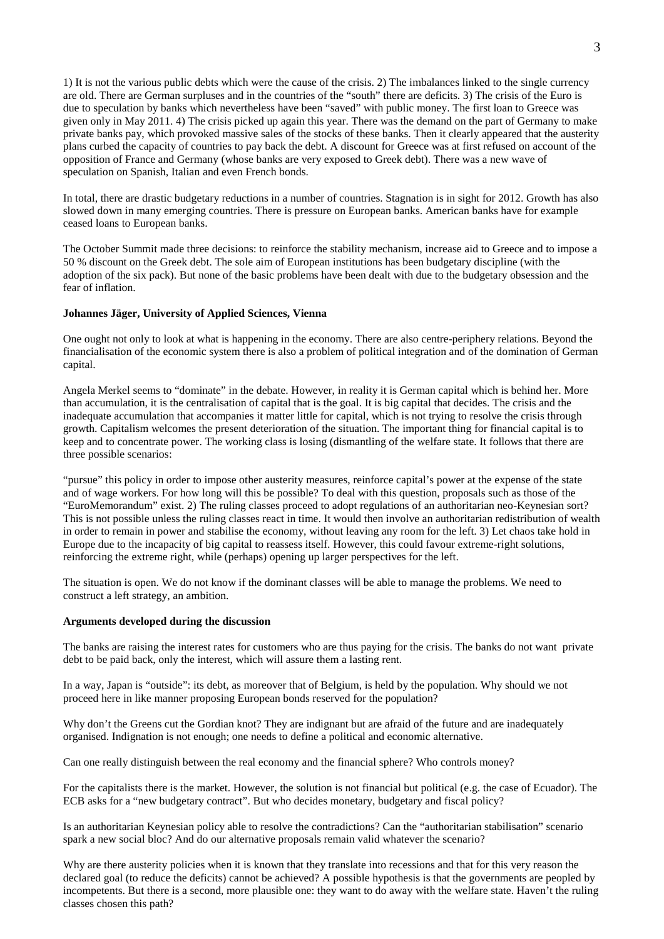1) It is not the various public debts which were the cause of the crisis. 2) The imbalances linked to the single currency are old. There are German surpluses and in the countries of the "south" there are deficits. 3) The crisis of the Euro is due to speculation by banks which nevertheless have been "saved" with public money. The first loan to Greece was given only in May 2011. 4) The crisis picked up again this year. There was the demand on the part of Germany to make private banks pay, which provoked massive sales of the stocks of these banks. Then it clearly appeared that the austerity plans curbed the capacity of countries to pay back the debt. A discount for Greece was at first refused on account of the opposition of France and Germany (whose banks are very exposed to Greek debt). There was a new wave of speculation on Spanish, Italian and even French bonds.

In total, there are drastic budgetary reductions in a number of countries. Stagnation is in sight for 2012. Growth has also slowed down in many emerging countries. There is pressure on European banks. American banks have for example ceased loans to European banks.

The October Summit made three decisions: to reinforce the stability mechanism, increase aid to Greece and to impose a 50 % discount on the Greek debt. The sole aim of European institutions has been budgetary discipline (with the adoption of the six pack). But none of the basic problems have been dealt with due to the budgetary obsession and the fear of inflation.

## **Johannes Jäger, University of Applied Sciences, Vienna**

One ought not only to look at what is happening in the economy. There are also centre-periphery relations. Beyond the financialisation of the economic system there is also a problem of political integration and of the domination of German capital.

Angela Merkel seems to "dominate" in the debate. However, in reality it is German capital which is behind her. More than accumulation, it is the centralisation of capital that is the goal. It is big capital that decides. The crisis and the inadequate accumulation that accompanies it matter little for capital, which is not trying to resolve the crisis through growth. Capitalism welcomes the present deterioration of the situation. The important thing for financial capital is to keep and to concentrate power. The working class is losing (dismantling of the welfare state. It follows that there are three possible scenarios:

"pursue" this policy in order to impose other austerity measures, reinforce capital's power at the expense of the state and of wage workers. For how long will this be possible? To deal with this question, proposals such as those of the "EuroMemorandum" exist. 2) The ruling classes proceed to adopt regulations of an authoritarian neo-Keynesian sort? This is not possible unless the ruling classes react in time. It would then involve an authoritarian redistribution of wealth in order to remain in power and stabilise the economy, without leaving any room for the left. 3) Let chaos take hold in Europe due to the incapacity of big capital to reassess itself. However, this could favour extreme-right solutions, reinforcing the extreme right, while (perhaps) opening up larger perspectives for the left.

The situation is open. We do not know if the dominant classes will be able to manage the problems. We need to construct a left strategy, an ambition.

#### **Arguments developed during the discussion**

The banks are raising the interest rates for customers who are thus paying for the crisis. The banks do not want private debt to be paid back, only the interest, which will assure them a lasting rent.

In a way, Japan is "outside": its debt, as moreover that of Belgium, is held by the population. Why should we not proceed here in like manner proposing European bonds reserved for the population?

Why don't the Greens cut the Gordian knot? They are indignant but are afraid of the future and are inadequately organised. Indignation is not enough; one needs to define a political and economic alternative.

Can one really distinguish between the real economy and the financial sphere? Who controls money?

For the capitalists there is the market. However, the solution is not financial but political (e.g. the case of Ecuador). The ECB asks for a "new budgetary contract". But who decides monetary, budgetary and fiscal policy?

Is an authoritarian Keynesian policy able to resolve the contradictions? Can the "authoritarian stabilisation" scenario spark a new social bloc? And do our alternative proposals remain valid whatever the scenario?

Why are there austerity policies when it is known that they translate into recessions and that for this very reason the declared goal (to reduce the deficits) cannot be achieved? A possible hypothesis is that the governments are peopled by incompetents. But there is a second, more plausible one: they want to do away with the welfare state. Haven't the ruling classes chosen this path?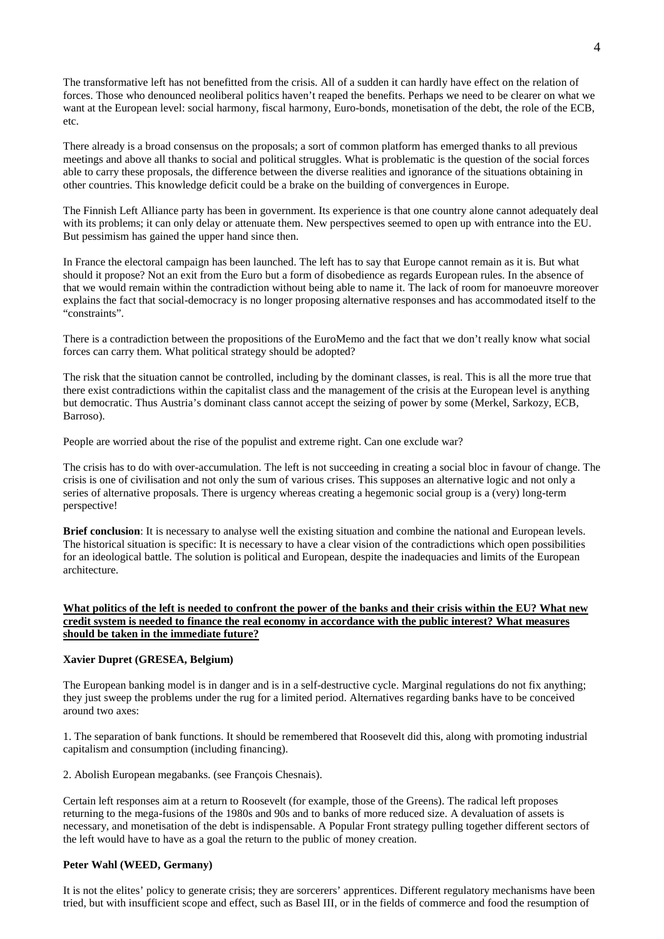The transformative left has not benefitted from the crisis. All of a sudden it can hardly have effect on the relation of forces. Those who denounced neoliberal politics haven't reaped the benefits. Perhaps we need to be clearer on what we want at the European level: social harmony, fiscal harmony, Euro-bonds, monetisation of the debt, the role of the ECB, etc.

There already is a broad consensus on the proposals; a sort of common platform has emerged thanks to all previous meetings and above all thanks to social and political struggles. What is problematic is the question of the social forces able to carry these proposals, the difference between the diverse realities and ignorance of the situations obtaining in other countries. This knowledge deficit could be a brake on the building of convergences in Europe.

The Finnish Left Alliance party has been in government. Its experience is that one country alone cannot adequately deal with its problems; it can only delay or attenuate them. New perspectives seemed to open up with entrance into the EU. But pessimism has gained the upper hand since then.

In France the electoral campaign has been launched. The left has to say that Europe cannot remain as it is. But what should it propose? Not an exit from the Euro but a form of disobedience as regards European rules. In the absence of that we would remain within the contradiction without being able to name it. The lack of room for manoeuvre moreover explains the fact that social-democracy is no longer proposing alternative responses and has accommodated itself to the "constraints".

There is a contradiction between the propositions of the EuroMemo and the fact that we don't really know what social forces can carry them. What political strategy should be adopted?

The risk that the situation cannot be controlled, including by the dominant classes, is real. This is all the more true that there exist contradictions within the capitalist class and the management of the crisis at the European level is anything but democratic. Thus Austria's dominant class cannot accept the seizing of power by some (Merkel, Sarkozy, ECB, Barroso).

People are worried about the rise of the populist and extreme right. Can one exclude war?

The crisis has to do with over-accumulation. The left is not succeeding in creating a social bloc in favour of change. The crisis is one of civilisation and not only the sum of various crises. This supposes an alternative logic and not only a series of alternative proposals. There is urgency whereas creating a hegemonic social group is a (very) long-term perspective!

**Brief conclusion:** It is necessary to analyse well the existing situation and combine the national and European levels. The historical situation is specific: It is necessary to have a clear vision of the contradictions which open possibilities for an ideological battle. The solution is political and European, despite the inadequacies and limits of the European architecture.

# **What politics of the left is needed to confront the power of the banks and their crisis within the EU? What new credit system is needed to finance the real economy in accordance with the public interest? What measures should be taken in the immediate future?**

### **Xavier Dupret (GRESEA, Belgium)**

The European banking model is in danger and is in a self-destructive cycle. Marginal regulations do not fix anything; they just sweep the problems under the rug for a limited period. Alternatives regarding banks have to be conceived around two axes:

1. The separation of bank functions. It should be remembered that Roosevelt did this, along with promoting industrial capitalism and consumption (including financing).

2. Abolish European megabanks. (see François Chesnais).

Certain left responses aim at a return to Roosevelt (for example, those of the Greens). The radical left proposes returning to the mega-fusions of the 1980s and 90s and to banks of more reduced size. A devaluation of assets is necessary, and monetisation of the debt is indispensable. A Popular Front strategy pulling together different sectors of the left would have to have as a goal the return to the public of money creation.

# **Peter Wahl (WEED, Germany)**

It is not the elites' policy to generate crisis; they are sorcerers' apprentices. Different regulatory mechanisms have been tried, but with insufficient scope and effect, such as Basel III, or in the fields of commerce and food the resumption of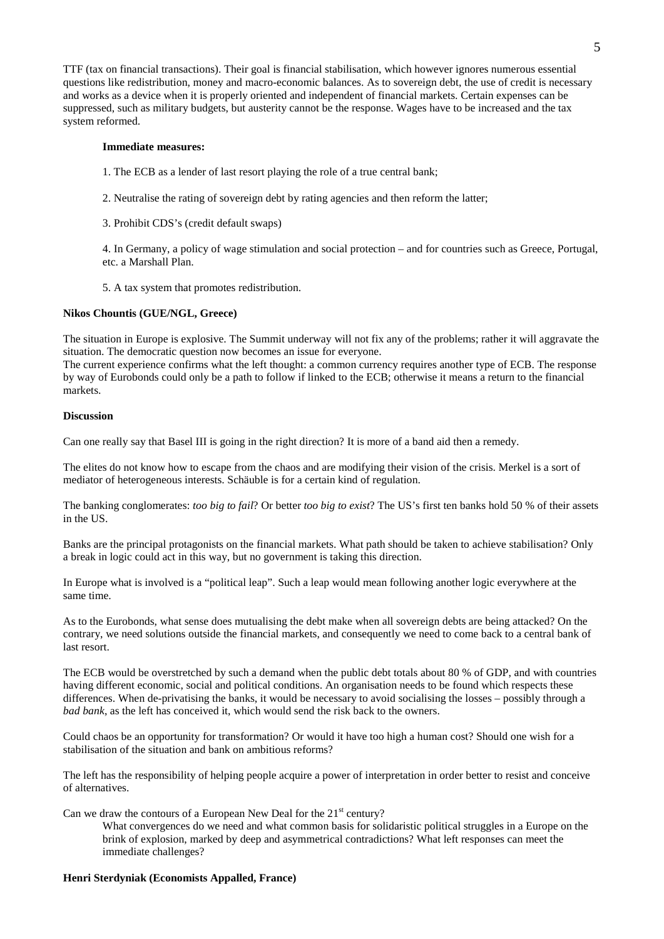TTF (tax on financial transactions). Their goal is financial stabilisation, which however ignores numerous essential questions like redistribution, money and macro-economic balances. As to sovereign debt, the use of credit is necessary and works as a device when it is properly oriented and independent of financial markets. Certain expenses can be suppressed, such as military budgets, but austerity cannot be the response. Wages have to be increased and the tax system reformed.

#### **Immediate measures:**

- 1. The ECB as a lender of last resort playing the role of a true central bank;
- 2. Neutralise the rating of sovereign debt by rating agencies and then reform the latter;
- 3. Prohibit CDS's (credit default swaps)

4. In Germany, a policy of wage stimulation and social protection – and for countries such as Greece, Portugal, etc. a Marshall Plan.

5. A tax system that promotes redistribution.

## **Nikos Chountis (GUE/NGL, Greece)**

The situation in Europe is explosive. The Summit underway will not fix any of the problems; rather it will aggravate the situation. The democratic question now becomes an issue for everyone.

The current experience confirms what the left thought: a common currency requires another type of ECB. The response by way of Eurobonds could only be a path to follow if linked to the ECB; otherwise it means a return to the financial markets.

### **Discussion**

Can one really say that Basel III is going in the right direction? It is more of a band aid then a remedy.

The elites do not know how to escape from the chaos and are modifying their vision of the crisis. Merkel is a sort of mediator of heterogeneous interests. Schäuble is for a certain kind of regulation.

The banking conglomerates: *too big to fail*? Or better *too big to exist*? The US's first ten banks hold 50 % of their assets in the US.

Banks are the principal protagonists on the financial markets. What path should be taken to achieve stabilisation? Only a break in logic could act in this way, but no government is taking this direction.

In Europe what is involved is a "political leap". Such a leap would mean following another logic everywhere at the same time.

As to the Eurobonds, what sense does mutualising the debt make when all sovereign debts are being attacked? On the contrary, we need solutions outside the financial markets, and consequently we need to come back to a central bank of last resort.

The ECB would be overstretched by such a demand when the public debt totals about 80 % of GDP, and with countries having different economic, social and political conditions. An organisation needs to be found which respects these differences. When de-privatising the banks, it would be necessary to avoid socialising the losses – possibly through a *bad bank*, as the left has conceived it, which would send the risk back to the owners.

Could chaos be an opportunity for transformation? Or would it have too high a human cost? Should one wish for a stabilisation of the situation and bank on ambitious reforms?

The left has the responsibility of helping people acquire a power of interpretation in order better to resist and conceive of alternatives.

Can we draw the contours of a European New Deal for the  $21<sup>st</sup>$  century?

What convergences do we need and what common basis for solidaristic political struggles in a Europe on the brink of explosion, marked by deep and asymmetrical contradictions? What left responses can meet the immediate challenges?

### **Henri Sterdyniak (Economists Appalled, France)**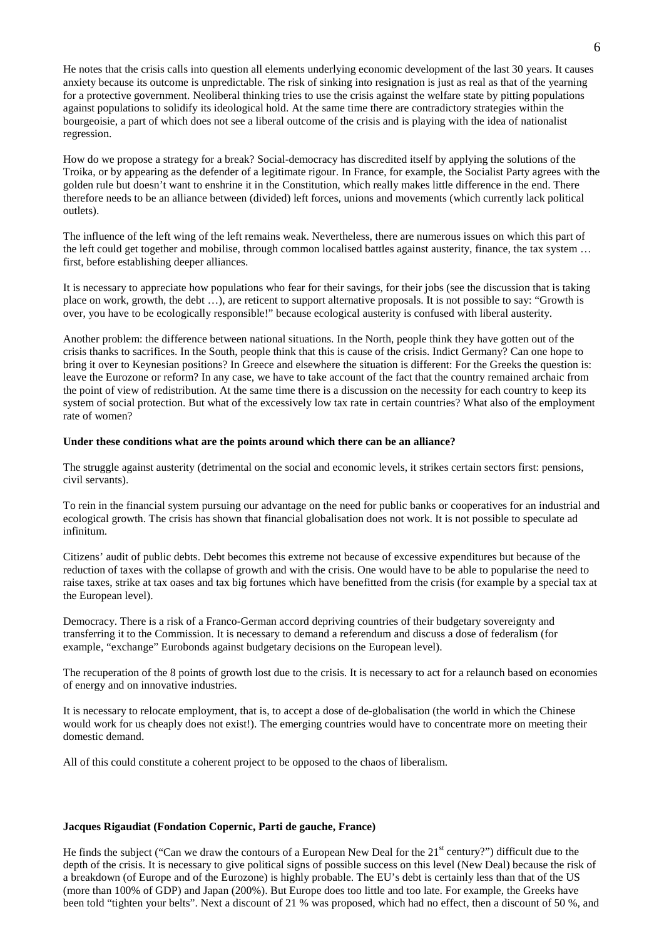He notes that the crisis calls into question all elements underlying economic development of the last 30 years. It causes anxiety because its outcome is unpredictable. The risk of sinking into resignation is just as real as that of the yearning for a protective government. Neoliberal thinking tries to use the crisis against the welfare state by pitting populations against populations to solidify its ideological hold. At the same time there are contradictory strategies within the bourgeoisie, a part of which does not see a liberal outcome of the crisis and is playing with the idea of nationalist regression.

How do we propose a strategy for a break? Social-democracy has discredited itself by applying the solutions of the Troika, or by appearing as the defender of a legitimate rigour. In France, for example, the Socialist Party agrees with the golden rule but doesn't want to enshrine it in the Constitution, which really makes little difference in the end. There therefore needs to be an alliance between (divided) left forces, unions and movements (which currently lack political outlets).

The influence of the left wing of the left remains weak. Nevertheless, there are numerous issues on which this part of the left could get together and mobilise, through common localised battles against austerity, finance, the tax system … first, before establishing deeper alliances.

It is necessary to appreciate how populations who fear for their savings, for their jobs (see the discussion that is taking place on work, growth, the debt …), are reticent to support alternative proposals. It is not possible to say: "Growth is over, you have to be ecologically responsible!" because ecological austerity is confused with liberal austerity.

Another problem: the difference between national situations. In the North, people think they have gotten out of the crisis thanks to sacrifices. In the South, people think that this is cause of the crisis. Indict Germany? Can one hope to bring it over to Keynesian positions? In Greece and elsewhere the situation is different: For the Greeks the question is: leave the Eurozone or reform? In any case, we have to take account of the fact that the country remained archaic from the point of view of redistribution. At the same time there is a discussion on the necessity for each country to keep its system of social protection. But what of the excessively low tax rate in certain countries? What also of the employment rate of women?

#### **Under these conditions what are the points around which there can be an alliance?**

The struggle against austerity (detrimental on the social and economic levels, it strikes certain sectors first: pensions, civil servants).

To rein in the financial system pursuing our advantage on the need for public banks or cooperatives for an industrial and ecological growth. The crisis has shown that financial globalisation does not work. It is not possible to speculate ad infinitum.

Citizens' audit of public debts. Debt becomes this extreme not because of excessive expenditures but because of the reduction of taxes with the collapse of growth and with the crisis. One would have to be able to popularise the need to raise taxes, strike at tax oases and tax big fortunes which have benefitted from the crisis (for example by a special tax at the European level).

Democracy. There is a risk of a Franco-German accord depriving countries of their budgetary sovereignty and transferring it to the Commission. It is necessary to demand a referendum and discuss a dose of federalism (for example, "exchange" Eurobonds against budgetary decisions on the European level).

The recuperation of the 8 points of growth lost due to the crisis. It is necessary to act for a relaunch based on economies of energy and on innovative industries.

It is necessary to relocate employment, that is, to accept a dose of de-globalisation (the world in which the Chinese would work for us cheaply does not exist!). The emerging countries would have to concentrate more on meeting their domestic demand.

All of this could constitute a coherent project to be opposed to the chaos of liberalism.

## **Jacques Rigaudiat (Fondation Copernic, Parti de gauche, France)**

He finds the subject ("Can we draw the contours of a European New Deal for the  $21<sup>st</sup>$  century?") difficult due to the depth of the crisis. It is necessary to give political signs of possible success on this level (New Deal) because the risk of a breakdown (of Europe and of the Eurozone) is highly probable. The EU's debt is certainly less than that of the US (more than 100% of GDP) and Japan (200%). But Europe does too little and too late. For example, the Greeks have been told "tighten your belts". Next a discount of 21 % was proposed, which had no effect, then a discount of 50 %, and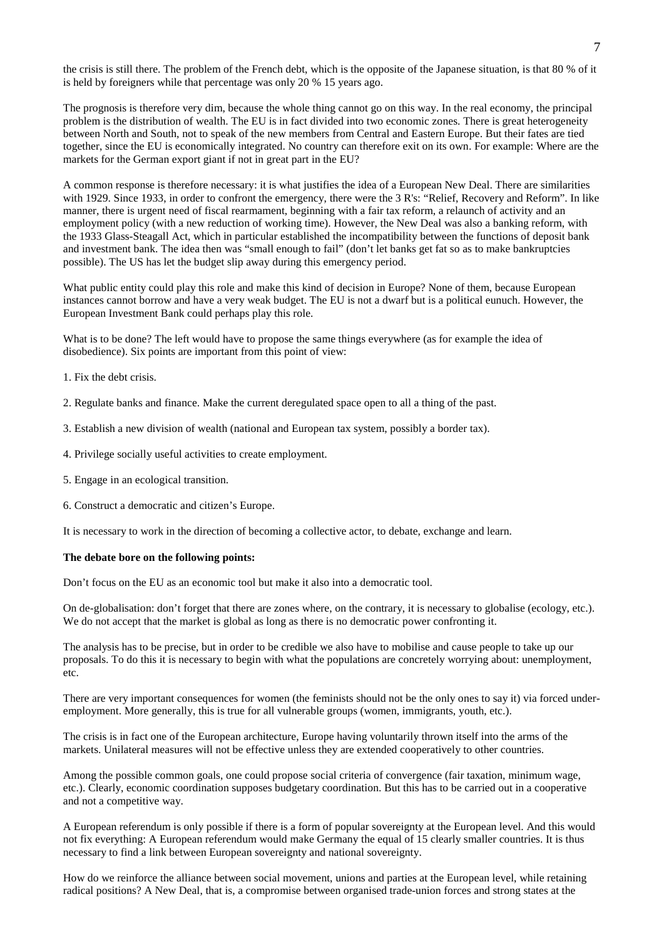the crisis is still there. The problem of the French debt, which is the opposite of the Japanese situation, is that 80 % of it is held by foreigners while that percentage was only 20 % 15 years ago.

The prognosis is therefore very dim, because the whole thing cannot go on this way. In the real economy, the principal problem is the distribution of wealth. The EU is in fact divided into two economic zones. There is great heterogeneity between North and South, not to speak of the new members from Central and Eastern Europe. But their fates are tied together, since the EU is economically integrated. No country can therefore exit on its own. For example: Where are the markets for the German export giant if not in great part in the EU?

A common response is therefore necessary: it is what justifies the idea of a European New Deal. There are similarities with 1929. Since 1933, in order to confront the emergency, there were the 3 R's: "Relief, Recovery and Reform". In like manner, there is urgent need of fiscal rearmament, beginning with a fair tax reform, a relaunch of activity and an employment policy (with a new reduction of working time). However, the New Deal was also a banking reform, with the 1933 Glass-Steagall Act, which in particular established the incompatibility between the functions of deposit bank and investment bank. The idea then was "small enough to fail" (don't let banks get fat so as to make bankruptcies possible). The US has let the budget slip away during this emergency period.

What public entity could play this role and make this kind of decision in Europe? None of them, because European instances cannot borrow and have a very weak budget. The EU is not a dwarf but is a political eunuch. However, the European Investment Bank could perhaps play this role.

What is to be done? The left would have to propose the same things everywhere (as for example the idea of disobedience). Six points are important from this point of view:

- 1. Fix the debt crisis.
- 2. Regulate banks and finance. Make the current deregulated space open to all a thing of the past.
- 3. Establish a new division of wealth (national and European tax system, possibly a border tax).
- 4. Privilege socially useful activities to create employment.
- 5. Engage in an ecological transition.
- 6. Construct a democratic and citizen's Europe.

It is necessary to work in the direction of becoming a collective actor, to debate, exchange and learn.

## **The debate bore on the following points:**

Don't focus on the EU as an economic tool but make it also into a democratic tool.

On de-globalisation: don't forget that there are zones where, on the contrary, it is necessary to globalise (ecology, etc.). We do not accept that the market is global as long as there is no democratic power confronting it.

The analysis has to be precise, but in order to be credible we also have to mobilise and cause people to take up our proposals. To do this it is necessary to begin with what the populations are concretely worrying about: unemployment, etc.

There are very important consequences for women (the feminists should not be the only ones to say it) via forced underemployment. More generally, this is true for all vulnerable groups (women, immigrants, youth, etc.).

The crisis is in fact one of the European architecture, Europe having voluntarily thrown itself into the arms of the markets. Unilateral measures will not be effective unless they are extended cooperatively to other countries.

Among the possible common goals, one could propose social criteria of convergence (fair taxation, minimum wage, etc.). Clearly, economic coordination supposes budgetary coordination. But this has to be carried out in a cooperative and not a competitive way.

A European referendum is only possible if there is a form of popular sovereignty at the European level. And this would not fix everything: A European referendum would make Germany the equal of 15 clearly smaller countries. It is thus necessary to find a link between European sovereignty and national sovereignty.

How do we reinforce the alliance between social movement, unions and parties at the European level, while retaining radical positions? A New Deal, that is, a compromise between organised trade-union forces and strong states at the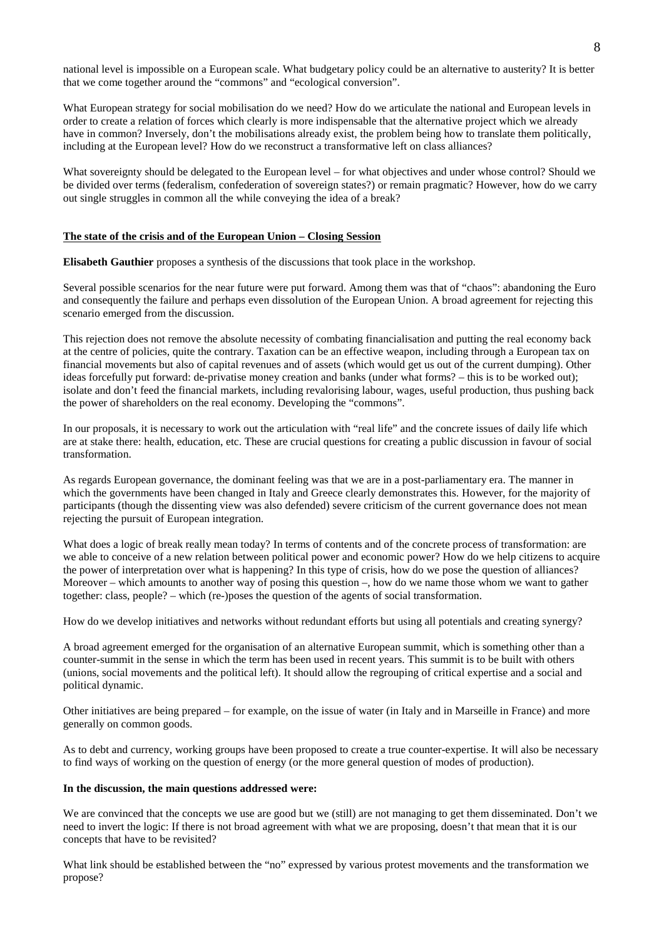national level is impossible on a European scale. What budgetary policy could be an alternative to austerity? It is better that we come together around the "commons" and "ecological conversion".

What European strategy for social mobilisation do we need? How do we articulate the national and European levels in order to create a relation of forces which clearly is more indispensable that the alternative project which we already have in common? Inversely, don't the mobilisations already exist, the problem being how to translate them politically, including at the European level? How do we reconstruct a transformative left on class alliances?

What sovereignty should be delegated to the European level – for what objectives and under whose control? Should we be divided over terms (federalism, confederation of sovereign states?) or remain pragmatic? However, how do we carry out single struggles in common all the while conveying the idea of a break?

### **The state of the crisis and of the European Union – Closing Session**

**Elisabeth Gauthier** proposes a synthesis of the discussions that took place in the workshop.

Several possible scenarios for the near future were put forward. Among them was that of "chaos": abandoning the Euro and consequently the failure and perhaps even dissolution of the European Union. A broad agreement for rejecting this scenario emerged from the discussion.

This rejection does not remove the absolute necessity of combating financialisation and putting the real economy back at the centre of policies, quite the contrary. Taxation can be an effective weapon, including through a European tax on financial movements but also of capital revenues and of assets (which would get us out of the current dumping). Other ideas forcefully put forward: de-privatise money creation and banks (under what forms? – this is to be worked out); isolate and don't feed the financial markets, including revalorising labour, wages, useful production, thus pushing back the power of shareholders on the real economy. Developing the "commons".

In our proposals, it is necessary to work out the articulation with "real life" and the concrete issues of daily life which are at stake there: health, education, etc. These are crucial questions for creating a public discussion in favour of social transformation.

As regards European governance, the dominant feeling was that we are in a post-parliamentary era. The manner in which the governments have been changed in Italy and Greece clearly demonstrates this. However, for the majority of participants (though the dissenting view was also defended) severe criticism of the current governance does not mean rejecting the pursuit of European integration.

What does a logic of break really mean today? In terms of contents and of the concrete process of transformation: are we able to conceive of a new relation between political power and economic power? How do we help citizens to acquire the power of interpretation over what is happening? In this type of crisis, how do we pose the question of alliances? Moreover – which amounts to another way of posing this question –, how do we name those whom we want to gather together: class, people? – which (re-)poses the question of the agents of social transformation.

How do we develop initiatives and networks without redundant efforts but using all potentials and creating synergy?

A broad agreement emerged for the organisation of an alternative European summit, which is something other than a counter-summit in the sense in which the term has been used in recent years. This summit is to be built with others (unions, social movements and the political left). It should allow the regrouping of critical expertise and a social and political dynamic.

Other initiatives are being prepared – for example, on the issue of water (in Italy and in Marseille in France) and more generally on common goods.

As to debt and currency, working groups have been proposed to create a true counter-expertise. It will also be necessary to find ways of working on the question of energy (or the more general question of modes of production).

#### **In the discussion, the main questions addressed were:**

We are convinced that the concepts we use are good but we (still) are not managing to get them disseminated. Don't we need to invert the logic: If there is not broad agreement with what we are proposing, doesn't that mean that it is our concepts that have to be revisited?

What link should be established between the "no" expressed by various protest movements and the transformation we propose?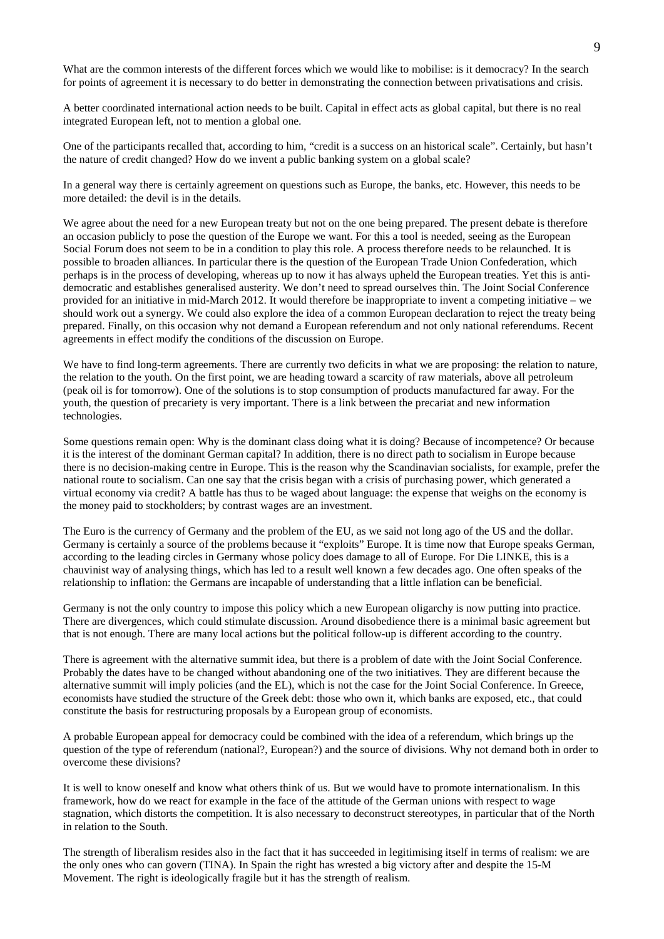What are the common interests of the different forces which we would like to mobilise: is it democracy? In the search for points of agreement it is necessary to do better in demonstrating the connection between privatisations and crisis.

A better coordinated international action needs to be built. Capital in effect acts as global capital, but there is no real integrated European left, not to mention a global one.

One of the participants recalled that, according to him, "credit is a success on an historical scale". Certainly, but hasn't the nature of credit changed? How do we invent a public banking system on a global scale?

In a general way there is certainly agreement on questions such as Europe, the banks, etc. However, this needs to be more detailed: the devil is in the details.

We agree about the need for a new European treaty but not on the one being prepared. The present debate is therefore an occasion publicly to pose the question of the Europe we want. For this a tool is needed, seeing as the European Social Forum does not seem to be in a condition to play this role. A process therefore needs to be relaunched. It is possible to broaden alliances. In particular there is the question of the European Trade Union Confederation, which perhaps is in the process of developing, whereas up to now it has always upheld the European treaties. Yet this is antidemocratic and establishes generalised austerity. We don't need to spread ourselves thin. The Joint Social Conference provided for an initiative in mid-March 2012. It would therefore be inappropriate to invent a competing initiative – we should work out a synergy. We could also explore the idea of a common European declaration to reject the treaty being prepared. Finally, on this occasion why not demand a European referendum and not only national referendums. Recent agreements in effect modify the conditions of the discussion on Europe.

We have to find long-term agreements. There are currently two deficits in what we are proposing: the relation to nature, the relation to the youth. On the first point, we are heading toward a scarcity of raw materials, above all petroleum (peak oil is for tomorrow). One of the solutions is to stop consumption of products manufactured far away. For the youth, the question of precariety is very important. There is a link between the precariat and new information technologies.

Some questions remain open: Why is the dominant class doing what it is doing? Because of incompetence? Or because it is the interest of the dominant German capital? In addition, there is no direct path to socialism in Europe because there is no decision-making centre in Europe. This is the reason why the Scandinavian socialists, for example, prefer the national route to socialism. Can one say that the crisis began with a crisis of purchasing power, which generated a virtual economy via credit? A battle has thus to be waged about language: the expense that weighs on the economy is the money paid to stockholders; by contrast wages are an investment.

The Euro is the currency of Germany and the problem of the EU, as we said not long ago of the US and the dollar. Germany is certainly a source of the problems because it "exploits" Europe. It is time now that Europe speaks German, according to the leading circles in Germany whose policy does damage to all of Europe. For Die LINKE, this is a chauvinist way of analysing things, which has led to a result well known a few decades ago. One often speaks of the relationship to inflation: the Germans are incapable of understanding that a little inflation can be beneficial.

Germany is not the only country to impose this policy which a new European oligarchy is now putting into practice. There are divergences, which could stimulate discussion. Around disobedience there is a minimal basic agreement but that is not enough. There are many local actions but the political follow-up is different according to the country.

There is agreement with the alternative summit idea, but there is a problem of date with the Joint Social Conference. Probably the dates have to be changed without abandoning one of the two initiatives. They are different because the alternative summit will imply policies (and the EL), which is not the case for the Joint Social Conference. In Greece, economists have studied the structure of the Greek debt: those who own it, which banks are exposed, etc., that could constitute the basis for restructuring proposals by a European group of economists.

A probable European appeal for democracy could be combined with the idea of a referendum, which brings up the question of the type of referendum (national?, European?) and the source of divisions. Why not demand both in order to overcome these divisions?

It is well to know oneself and know what others think of us. But we would have to promote internationalism. In this framework, how do we react for example in the face of the attitude of the German unions with respect to wage stagnation, which distorts the competition. It is also necessary to deconstruct stereotypes, in particular that of the North in relation to the South.

The strength of liberalism resides also in the fact that it has succeeded in legitimising itself in terms of realism: we are the only ones who can govern (TINA). In Spain the right has wrested a big victory after and despite the 15-M Movement. The right is ideologically fragile but it has the strength of realism.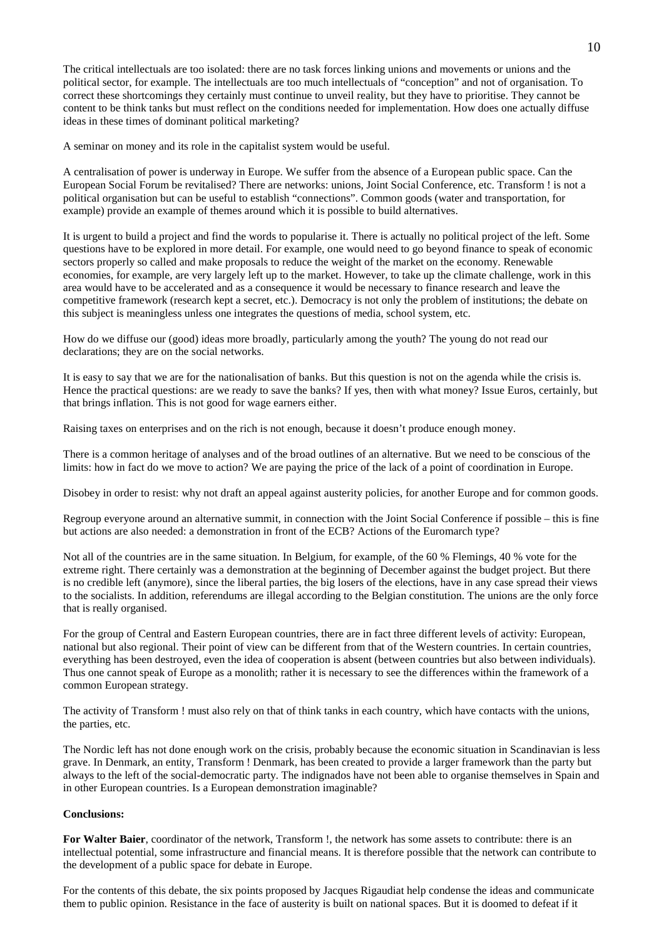The critical intellectuals are too isolated: there are no task forces linking unions and movements or unions and the political sector, for example. The intellectuals are too much intellectuals of "conception" and not of organisation. To correct these shortcomings they certainly must continue to unveil reality, but they have to prioritise. They cannot be content to be think tanks but must reflect on the conditions needed for implementation. How does one actually diffuse ideas in these times of dominant political marketing?

A seminar on money and its role in the capitalist system would be useful.

A centralisation of power is underway in Europe. We suffer from the absence of a European public space. Can the European Social Forum be revitalised? There are networks: unions, Joint Social Conference, etc. Transform ! is not a political organisation but can be useful to establish "connections". Common goods (water and transportation, for example) provide an example of themes around which it is possible to build alternatives.

It is urgent to build a project and find the words to popularise it. There is actually no political project of the left. Some questions have to be explored in more detail. For example, one would need to go beyond finance to speak of economic sectors properly so called and make proposals to reduce the weight of the market on the economy. Renewable economies, for example, are very largely left up to the market. However, to take up the climate challenge, work in this area would have to be accelerated and as a consequence it would be necessary to finance research and leave the competitive framework (research kept a secret, etc.). Democracy is not only the problem of institutions; the debate on this subject is meaningless unless one integrates the questions of media, school system, etc.

How do we diffuse our (good) ideas more broadly, particularly among the youth? The young do not read our declarations; they are on the social networks.

It is easy to say that we are for the nationalisation of banks. But this question is not on the agenda while the crisis is. Hence the practical questions: are we ready to save the banks? If yes, then with what money? Issue Euros, certainly, but that brings inflation. This is not good for wage earners either.

Raising taxes on enterprises and on the rich is not enough, because it doesn't produce enough money.

There is a common heritage of analyses and of the broad outlines of an alternative. But we need to be conscious of the limits: how in fact do we move to action? We are paying the price of the lack of a point of coordination in Europe.

Disobey in order to resist: why not draft an appeal against austerity policies, for another Europe and for common goods.

Regroup everyone around an alternative summit, in connection with the Joint Social Conference if possible – this is fine but actions are also needed: a demonstration in front of the ECB? Actions of the Euromarch type?

Not all of the countries are in the same situation. In Belgium, for example, of the 60 % Flemings, 40 % vote for the extreme right. There certainly was a demonstration at the beginning of December against the budget project. But there is no credible left (anymore), since the liberal parties, the big losers of the elections, have in any case spread their views to the socialists. In addition, referendums are illegal according to the Belgian constitution. The unions are the only force that is really organised.

For the group of Central and Eastern European countries, there are in fact three different levels of activity: European, national but also regional. Their point of view can be different from that of the Western countries. In certain countries, everything has been destroyed, even the idea of cooperation is absent (between countries but also between individuals). Thus one cannot speak of Europe as a monolith; rather it is necessary to see the differences within the framework of a common European strategy.

The activity of Transform ! must also rely on that of think tanks in each country, which have contacts with the unions, the parties, etc.

The Nordic left has not done enough work on the crisis, probably because the economic situation in Scandinavian is less grave. In Denmark, an entity, Transform ! Denmark, has been created to provide a larger framework than the party but always to the left of the social-democratic party. The indignados have not been able to organise themselves in Spain and in other European countries. Is a European demonstration imaginable?

# **Conclusions:**

**For Walter Baier**, coordinator of the network, Transform !, the network has some assets to contribute: there is an intellectual potential, some infrastructure and financial means. It is therefore possible that the network can contribute to the development of a public space for debate in Europe.

For the contents of this debate, the six points proposed by Jacques Rigaudiat help condense the ideas and communicate them to public opinion. Resistance in the face of austerity is built on national spaces. But it is doomed to defeat if it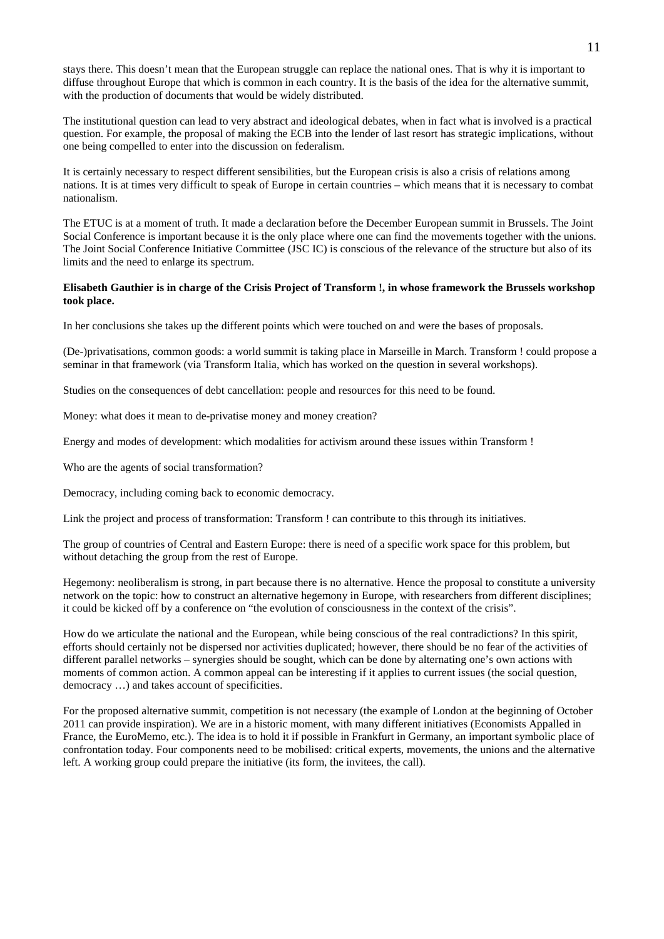stays there. This doesn't mean that the European struggle can replace the national ones. That is why it is important to diffuse throughout Europe that which is common in each country. It is the basis of the idea for the alternative summit, with the production of documents that would be widely distributed.

The institutional question can lead to very abstract and ideological debates, when in fact what is involved is a practical question. For example, the proposal of making the ECB into the lender of last resort has strategic implications, without one being compelled to enter into the discussion on federalism.

It is certainly necessary to respect different sensibilities, but the European crisis is also a crisis of relations among nations. It is at times very difficult to speak of Europe in certain countries – which means that it is necessary to combat nationalism.

The ETUC is at a moment of truth. It made a declaration before the December European summit in Brussels. The Joint Social Conference is important because it is the only place where one can find the movements together with the unions. The Joint Social Conference Initiative Committee (JSC IC) is conscious of the relevance of the structure but also of its limits and the need to enlarge its spectrum.

# **Elisabeth Gauthier is in charge of the Crisis Project of Transform !, in whose framework the Brussels workshop took place.**

In her conclusions she takes up the different points which were touched on and were the bases of proposals.

(De-)privatisations, common goods: a world summit is taking place in Marseille in March. Transform ! could propose a seminar in that framework (via Transform Italia, which has worked on the question in several workshops).

Studies on the consequences of debt cancellation: people and resources for this need to be found.

Money: what does it mean to de-privatise money and money creation?

Energy and modes of development: which modalities for activism around these issues within Transform !

Who are the agents of social transformation?

Democracy, including coming back to economic democracy.

Link the project and process of transformation: Transform ! can contribute to this through its initiatives.

The group of countries of Central and Eastern Europe: there is need of a specific work space for this problem, but without detaching the group from the rest of Europe.

Hegemony: neoliberalism is strong, in part because there is no alternative. Hence the proposal to constitute a university network on the topic: how to construct an alternative hegemony in Europe, with researchers from different disciplines; it could be kicked off by a conference on "the evolution of consciousness in the context of the crisis".

How do we articulate the national and the European, while being conscious of the real contradictions? In this spirit, efforts should certainly not be dispersed nor activities duplicated; however, there should be no fear of the activities of different parallel networks – synergies should be sought, which can be done by alternating one's own actions with moments of common action. A common appeal can be interesting if it applies to current issues (the social question, democracy …) and takes account of specificities.

For the proposed alternative summit, competition is not necessary (the example of London at the beginning of October 2011 can provide inspiration). We are in a historic moment, with many different initiatives (Economists Appalled in France, the EuroMemo, etc.). The idea is to hold it if possible in Frankfurt in Germany, an important symbolic place of confrontation today. Four components need to be mobilised: critical experts, movements, the unions and the alternative left. A working group could prepare the initiative (its form, the invitees, the call).